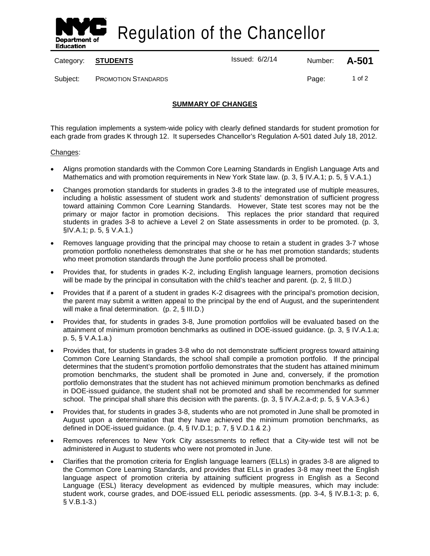

Regulation of the Chancellor

Category: **STUDENTS ISSUED:** Issued: 6/2/14 Number: **A-501** 

Subject: PROMOTION STANDARDS **Page:** 1 of 2

## **SUMMARY OF CHANGES**

This regulation implements a system-wide policy with clearly defined standards for student promotion for each grade from grades K through 12. It supersedes Chancellor's Regulation A-501 dated July 18, 2012.

### Changes:

- Aligns promotion standards with the Common Core Learning Standards in English Language Arts and Mathematics and with promotion requirements in New York State law. (p. 3, § IV.A.1; p. 5, § V.A.1.)
- Changes promotion standards for students in grades 3-8 to the integrated use of multiple measures, including a holistic assessment of student work and students' demonstration of sufficient progress toward attaining Common Core Learning Standards. However, State test scores may not be the primary or major factor in promotion decisions. This replaces the prior standard that required students in grades 3-8 to achieve a Level 2 on State assessments in order to be promoted. (p. 3, §IV.A.1; p. 5, § V.A.1.)
- Removes language providing that the principal may choose to retain a student in grades 3-7 whose promotion portfolio nonetheless demonstrates that she or he has met promotion standards; students who meet promotion standards through the June portfolio process shall be promoted.
- Provides that, for students in grades K-2, including English language learners, promotion decisions will be made by the principal in consultation with the child's teacher and parent. (p. 2, § III.D.)
- Provides that if a parent of a student in grades K-2 disagrees with the principal's promotion decision, the parent may submit a written appeal to the principal by the end of August, and the superintendent will make a final determination. (p. 2, § III.D.)
- Provides that, for students in grades 3-8, June promotion portfolios will be evaluated based on the attainment of minimum promotion benchmarks as outlined in DOE-issued guidance. (p. 3, § IV.A.1.a; p. 5, § V.A.1.a.)
- Provides that, for students in grades 3-8 who do not demonstrate sufficient progress toward attaining Common Core Learning Standards, the school shall compile a promotion portfolio. If the principal determines that the student's promotion portfolio demonstrates that the student has attained minimum promotion benchmarks, the student shall be promoted in June and, conversely, if the promotion portfolio demonstrates that the student has not achieved minimum promotion benchmarks as defined in DOE-issued guidance, the student shall not be promoted and shall be recommended for summer school. The principal shall share this decision with the parents. (p. 3, § IV.A.2.a-d; p. 5, § V.A.3-6.)
- Provides that, for students in grades 3-8, students who are not promoted in June shall be promoted in August upon a determination that they have achieved the minimum promotion benchmarks, as defined in DOE-issued guidance. (p. 4, § IV.D.1; p. 7, § V.D.1 & 2.)
- Removes references to New York City assessments to reflect that a City-wide test will not be administered in August to students who were not promoted in June.
- Clarifies that the promotion criteria for English language learners (ELLs) in grades 3-8 are aligned to the Common Core Learning Standards, and provides that ELLs in grades 3-8 may meet the English language aspect of promotion criteria by attaining sufficient progress in English as a Second Language (ESL) literacy development as evidenced by multiple measures, which may include: student work, course grades, and DOE-issued ELL periodic assessments. (pp. 3-4, § IV.B.1-3; p. 6,  $\S$  V.B.1-3.)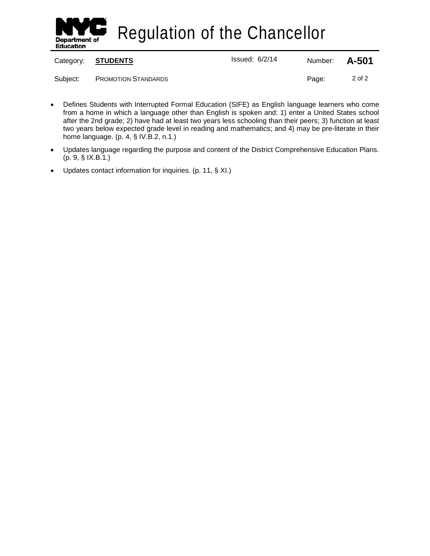

Regulation of the Chancellor

Category: **STUDENTS ISSUED:** Issued: 6/2/14 Number: **A-501** 

Subject: PROMOTION STANDARDS **Page:** 2 of 2

- Defines Students with Interrupted Formal Education (SIFE) as English language learners who come from a home in which a language other than English is spoken and: 1) enter a United States school after the 2nd grade; 2) have had at least two years less schooling than their peers; 3) function at least two years below expected grade level in reading and mathematics; and 4) may be pre-literate in their home language. (p. 4, § IV.B.2, n.1.)
- Updates language regarding the purpose and content of the District Comprehensive Education Plans. (p. 9, § IX.B.1.)
- Updates contact information for inquiries. (p. 11, § XI.)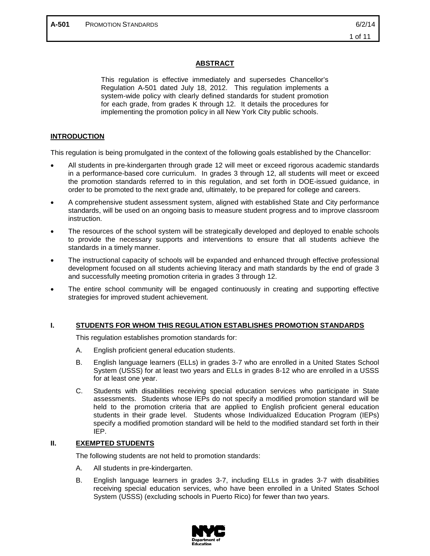### **ABSTRACT**

This regulation is effective immediately and supersedes Chancellor's Regulation A-501 dated July 18, 2012. This regulation implements a system-wide policy with clearly defined standards for student promotion for each grade, from grades K through 12. It details the procedures for implementing the promotion policy in all New York City public schools.

### **INTRODUCTION**

This regulation is being promulgated in the context of the following goals established by the Chancellor:

- All students in pre-kindergarten through grade 12 will meet or exceed rigorous academic standards in a performance-based core curriculum. In grades 3 through 12, all students will meet or exceed the promotion standards referred to in this regulation, and set forth in DOE-issued guidance, in order to be promoted to the next grade and, ultimately, to be prepared for college and careers.
- A comprehensive student assessment system, aligned with established State and City performance standards, will be used on an ongoing basis to measure student progress and to improve classroom instruction.
- The resources of the school system will be strategically developed and deployed to enable schools to provide the necessary supports and interventions to ensure that all students achieve the standards in a timely manner.
- The instructional capacity of schools will be expanded and enhanced through effective professional development focused on all students achieving literacy and math standards by the end of grade 3 and successfully meeting promotion criteria in grades 3 through 12.
- The entire school community will be engaged continuously in creating and supporting effective strategies for improved student achievement.

#### **I. STUDENTS FOR WHOM THIS REGULATION ESTABLISHES PROMOTION STANDARDS**

This regulation establishes promotion standards for:

- A. English proficient general education students.
- B. English language learners (ELLs) in grades 3-7 who are enrolled in a United States School System (USSS) for at least two years and ELLs in grades 8-12 who are enrolled in a USSS for at least one year.
- C. Students with disabilities receiving special education services who participate in State assessments. Students whose IEPs do not specify a modified promotion standard will be held to the promotion criteria that are applied to English proficient general education students in their grade level. Students whose Individualized Education Program (IEPs) specify a modified promotion standard will be held to the modified standard set forth in their IEP.

#### **II. EXEMPTED STUDENTS**

The following students are not held to promotion standards:

- A. All students in pre-kindergarten.
- B. English language learners in grades 3-7, including ELLs in grades 3-7 with disabilities receiving special education services, who have been enrolled in a United States School System (USSS) (excluding schools in Puerto Rico) for fewer than two years.

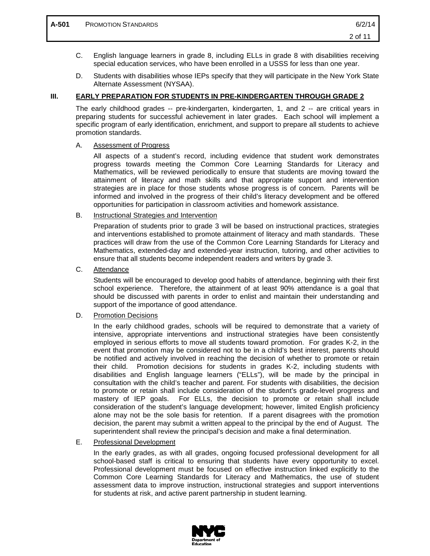- C. English language learners in grade 8, including ELLs in grade 8 with disabilities receiving special education services, who have been enrolled in a USSS for less than one year.
- D. Students with disabilities whose IEPs specify that they will participate in the New York State Alternate Assessment (NYSAA).

#### **III. EARLY PREPARATION FOR STUDENTS IN PRE-KINDERGARTEN THROUGH GRADE 2**

The early childhood grades -- pre-kindergarten, kindergarten, 1, and 2 -- are critical years in preparing students for successful achievement in later grades. Each school will implement a specific program of early identification, enrichment, and support to prepare all students to achieve promotion standards.

#### A. Assessment of Progress

All aspects of a student's record, including evidence that student work demonstrates progress towards meeting the Common Core Learning Standards for Literacy and Mathematics, will be reviewed periodically to ensure that students are moving toward the attainment of literacy and math skills and that appropriate support and intervention strategies are in place for those students whose progress is of concern. Parents will be informed and involved in the progress of their child's literacy development and be offered opportunities for participation in classroom activities and homework assistance.

#### B. Instructional Strategies and Intervention

Preparation of students prior to grade 3 will be based on instructional practices, strategies and interventions established to promote attainment of literacy and math standards. These practices will draw from the use of the Common Core Learning Standards for Literacy and Mathematics, extended-day and extended-year instruction, tutoring, and other activities to ensure that all students become independent readers and writers by grade 3.

#### C. Attendance

Students will be encouraged to develop good habits of attendance, beginning with their first school experience. Therefore, the attainment of at least 90% attendance is a goal that should be discussed with parents in order to enlist and maintain their understanding and support of the importance of good attendance.

#### D. Promotion Decisions

In the early childhood grades, schools will be required to demonstrate that a variety of intensive, appropriate interventions and instructional strategies have been consistently employed in serious efforts to move all students toward promotion. For grades K-2, in the event that promotion may be considered not to be in a child's best interest, parents should be notified and actively involved in reaching the decision of whether to promote or retain their child. Promotion decisions for students in grades K-2, including students with disabilities and English language learners ("ELLs"), will be made by the principal in consultation with the child's teacher and parent. For students with disabilities, the decision to promote or retain shall include consideration of the student's grade-level progress and mastery of IEP goals. For ELLs, the decision to promote or retain shall include consideration of the student's language development; however, limited English proficiency alone may not be the sole basis for retention. If a parent disagrees with the promotion decision, the parent may submit a written appeal to the principal by the end of August. The superintendent shall review the principal's decision and make a final determination.

#### E. Professional Development

In the early grades, as with all grades, ongoing focused professional development for all school-based staff is critical to ensuring that students have every opportunity to excel. Professional development must be focused on effective instruction linked explicitly to the Common Core Learning Standards for Literacy and Mathematics, the use of student assessment data to improve instruction, instructional strategies and support interventions for students at risk, and active parent partnership in student learning.

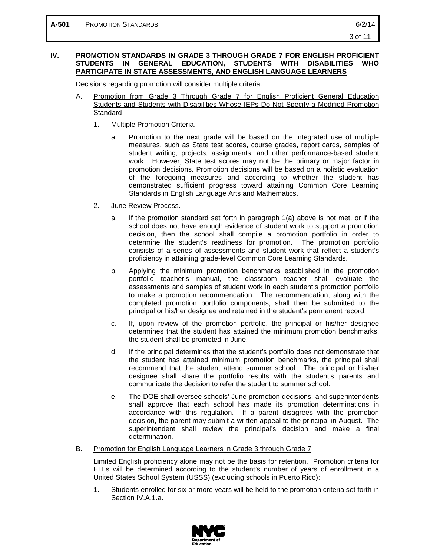#### **IV. PROMOTION STANDARDS IN GRADE 3 THROUGH GRADE 7 FOR ENGLISH PROFICIENT STUDENTS IN GENERAL EDUCATION, STUDENTS WITH DISABILITIES WHO PARTICIPATE IN STATE ASSESSMENTS, AND ENGLISH LANGUAGE LEARNERS**

Decisions regarding promotion will consider multiple criteria.

- A. Promotion from Grade 3 Through Grade 7 for English Proficient General Education Students and Students with Disabilities Whose IEPs Do Not Specify a Modified Promotion **Standard** 
	- 1. Multiple Promotion Criteria.
		- a. Promotion to the next grade will be based on the integrated use of multiple measures, such as State test scores, course grades, report cards, samples of student writing, projects, assignments, and other performance-based student work. However, State test scores may not be the primary or major factor in promotion decisions. Promotion decisions will be based on a holistic evaluation of the foregoing measures and according to whether the student has demonstrated sufficient progress toward attaining Common Core Learning Standards in English Language Arts and Mathematics.
	- 2. June Review Process.
		- a. If the promotion standard set forth in paragraph 1(a) above is not met, or if the school does not have enough evidence of student work to support a promotion decision, then the school shall compile a promotion portfolio in order to determine the student's readiness for promotion. The promotion portfolio consists of a series of assessments and student work that reflect a student's proficiency in attaining grade-level Common Core Learning Standards.
		- b. Applying the minimum promotion benchmarks established in the promotion portfolio teacher's manual, the classroom teacher shall evaluate the assessments and samples of student work in each student's promotion portfolio to make a promotion recommendation. The recommendation, along with the completed promotion portfolio components, shall then be submitted to the principal or his/her designee and retained in the student's permanent record.
		- c. If, upon review of the promotion portfolio, the principal or his/her designee determines that the student has attained the minimum promotion benchmarks, the student shall be promoted in June.
		- d. If the principal determines that the student's portfolio does not demonstrate that the student has attained minimum promotion benchmarks, the principal shall recommend that the student attend summer school. The principal or his/her designee shall share the portfolio results with the student's parents and communicate the decision to refer the student to summer school.
		- e. The DOE shall oversee schools' June promotion decisions, and superintendents shall approve that each school has made its promotion determinations in accordance with this regulation. If a parent disagrees with the promotion decision, the parent may submit a written appeal to the principal in August. The superintendent shall review the principal's decision and make a final determination.
- B. Promotion for English Language Learners in Grade 3 through Grade 7

Limited English proficiency alone may not be the basis for retention. Promotion criteria for ELLs will be determined according to the student's number of years of enrollment in a United States School System (USSS) (excluding schools in Puerto Rico):

1. Students enrolled for six or more years will be held to the promotion criteria set forth in Section IV.A.1.a.

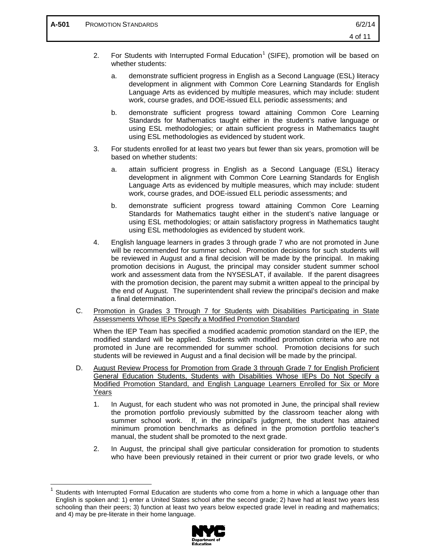- 2. For Students with Interrupted Formal Education<sup>[1](#page-5-0)</sup> (SIFE), promotion will be based on whether students:
	- a. demonstrate sufficient progress in English as a Second Language (ESL) literacy development in alignment with Common Core Learning Standards for English Language Arts as evidenced by multiple measures, which may include: student work, course grades, and DOE-issued ELL periodic assessments; and
	- b. demonstrate sufficient progress toward attaining Common Core Learning Standards for Mathematics taught either in the student's native language or using ESL methodologies; or attain sufficient progress in Mathematics taught using ESL methodologies as evidenced by student work.
- 3. For students enrolled for at least two years but fewer than six years, promotion will be based on whether students:
	- a. attain sufficient progress in English as a Second Language (ESL) literacy development in alignment with Common Core Learning Standards for English Language Arts as evidenced by multiple measures, which may include: student work, course grades, and DOE-issued ELL periodic assessments; and
	- b. demonstrate sufficient progress toward attaining Common Core Learning Standards for Mathematics taught either in the student's native language or using ESL methodologies; or attain satisfactory progress in Mathematics taught using ESL methodologies as evidenced by student work.
- 4. English language learners in grades 3 through grade 7 who are not promoted in June will be recommended for summer school. Promotion decisions for such students will be reviewed in August and a final decision will be made by the principal. In making promotion decisions in August, the principal may consider student summer school work and assessment data from the NYSESLAT, if available. If the parent disagrees with the promotion decision, the parent may submit a written appeal to the principal by the end of August. The superintendent shall review the principal's decision and make a final determination.
- C. Promotion in Grades 3 Through 7 for Students with Disabilities Participating in State Assessments Whose IEPs Specify a Modified Promotion Standard

When the IEP Team has specified a modified academic promotion standard on the IEP, the modified standard will be applied. Students with modified promotion criteria who are not promoted in June are recommended for summer school. Promotion decisions for such students will be reviewed in August and a final decision will be made by the principal.

- D. August Review Process for Promotion from Grade 3 through Grade 7 for English Proficient General Education Students, Students with Disabilities Whose IEPs Do Not Specify a Modified Promotion Standard, and English Language Learners Enrolled for Six or More Years
	- 1. In August, for each student who was not promoted in June, the principal shall review the promotion portfolio previously submitted by the classroom teacher along with summer school work. If, in the principal's judgment, the student has attained minimum promotion benchmarks as defined in the promotion portfolio teacher's manual, the student shall be promoted to the next grade.
	- 2. In August, the principal shall give particular consideration for promotion to students who have been previously retained in their current or prior two grade levels, or who

<span id="page-5-0"></span>Students with Interrupted Formal Education are students who come from a home in which a language other than English is spoken and: 1) enter a United States school after the second grade; 2) have had at least two years less schooling than their peers; 3) function at least two years below expected grade level in reading and mathematics; and 4) may be pre-literate in their home language.

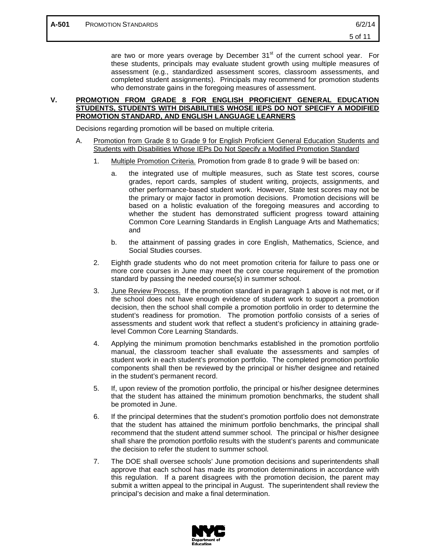are two or more years overage by December  $31<sup>st</sup>$  of the current school year. For these students, principals may evaluate student growth using multiple measures of assessment (e.g., standardized assessment scores, classroom assessments, and completed student assignments). Principals may recommend for promotion students who demonstrate gains in the foregoing measures of assessment.

#### **V. PROMOTION FROM GRADE 8 FOR ENGLISH PROFICIENT GENERAL EDUCATION STUDENTS, STUDENTS WITH DISABILITIES WHOSE IEPS DO NOT SPECIFY A MODIFIED PROMOTION STANDARD, AND ENGLISH LANGUAGE LEARNERS**

Decisions regarding promotion will be based on multiple criteria.

- A. Promotion from Grade 8 to Grade 9 for English Proficient General Education Students and Students with Disabilities Whose IEPs Do Not Specify a Modified Promotion Standard
	- 1. Multiple Promotion Criteria. Promotion from grade 8 to grade 9 will be based on:
		- a. the integrated use of multiple measures, such as State test scores, course grades, report cards, samples of student writing, projects, assignments, and other performance-based student work. However, State test scores may not be the primary or major factor in promotion decisions. Promotion decisions will be based on a holistic evaluation of the foregoing measures and according to whether the student has demonstrated sufficient progress toward attaining Common Core Learning Standards in English Language Arts and Mathematics; and
		- b. the attainment of passing grades in core English, Mathematics, Science, and Social Studies courses.
	- 2. Eighth grade students who do not meet promotion criteria for failure to pass one or more core courses in June may meet the core course requirement of the promotion standard by passing the needed course(s) in summer school.
	- 3. June Review Process. If the promotion standard in paragraph 1 above is not met, or if the school does not have enough evidence of student work to support a promotion decision, then the school shall compile a promotion portfolio in order to determine the student's readiness for promotion. The promotion portfolio consists of a series of assessments and student work that reflect a student's proficiency in attaining gradelevel Common Core Learning Standards.
	- 4. Applying the minimum promotion benchmarks established in the promotion portfolio manual, the classroom teacher shall evaluate the assessments and samples of student work in each student's promotion portfolio. The completed promotion portfolio components shall then be reviewed by the principal or his/her designee and retained in the student's permanent record.
	- 5. If, upon review of the promotion portfolio, the principal or his/her designee determines that the student has attained the minimum promotion benchmarks, the student shall be promoted in June.
	- 6. If the principal determines that the student's promotion portfolio does not demonstrate that the student has attained the minimum portfolio benchmarks, the principal shall recommend that the student attend summer school. The principal or his/her designee shall share the promotion portfolio results with the student's parents and communicate the decision to refer the student to summer school.
	- 7. The DOE shall oversee schools' June promotion decisions and superintendents shall approve that each school has made its promotion determinations in accordance with this regulation. If a parent disagrees with the promotion decision, the parent may submit a written appeal to the principal in August. The superintendent shall review the principal's decision and make a final determination.

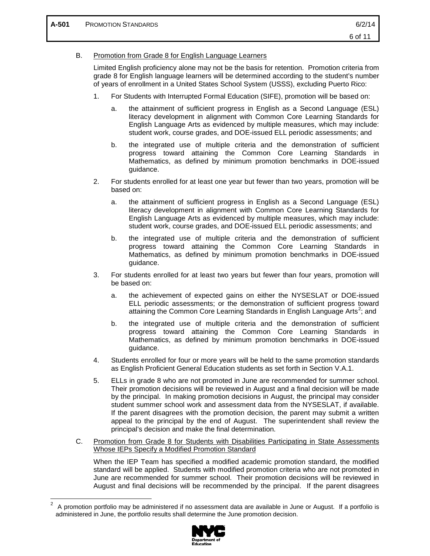$\overline{a}$ 

#### B. Promotion from Grade 8 for English Language Learners

Limited English proficiency alone may not be the basis for retention. Promotion criteria from grade 8 for English language learners will be determined according to the student's number of years of enrollment in a United States School System (USSS), excluding Puerto Rico:

- 1. For Students with Interrupted Formal Education (SIFE), promotion will be based on:
	- a. the attainment of sufficient progress in English as a Second Language (ESL) literacy development in alignment with Common Core Learning Standards for English Language Arts as evidenced by multiple measures, which may include: student work, course grades, and DOE-issued ELL periodic assessments; and
	- b. the integrated use of multiple criteria and the demonstration of sufficient progress toward attaining the Common Core Learning Standards in Mathematics, as defined by minimum promotion benchmarks in DOE-issued guidance.
- 2. For students enrolled for at least one year but fewer than two years, promotion will be based on:
	- a. the attainment of sufficient progress in English as a Second Language (ESL) literacy development in alignment with Common Core Learning Standards for English Language Arts as evidenced by multiple measures, which may include: student work, course grades, and DOE-issued ELL periodic assessments; and
	- b. the integrated use of multiple criteria and the demonstration of sufficient progress toward attaining the Common Core Learning Standards in Mathematics, as defined by minimum promotion benchmarks in DOE-issued guidance.
- 3. For students enrolled for at least two years but fewer than four years, promotion will be based on:
	- a. the achievement of expected gains on either the NYSESLAT or DOE-issued ELL periodic assessments; or the demonstration of sufficient progress toward attaining the Common Core Learning Standards in English Language Arts<sup>[2](#page-7-0)</sup>; and
	- b. the integrated use of multiple criteria and the demonstration of sufficient progress toward attaining the Common Core Learning Standards in Mathematics, as defined by minimum promotion benchmarks in DOE-issued guidance.
- 4. Students enrolled for four or more years will be held to the same promotion standards as English Proficient General Education students as set forth in Section V.A.1.
- 5. ELLs in grade 8 who are not promoted in June are recommended for summer school. Their promotion decisions will be reviewed in August and a final decision will be made by the principal. In making promotion decisions in August, the principal may consider student summer school work and assessment data from the NYSESLAT, if available. If the parent disagrees with the promotion decision, the parent may submit a written appeal to the principal by the end of August. The superintendent shall review the principal's decision and make the final determination.
- C. Promotion from Grade 8 for Students with Disabilities Participating in State Assessments Whose IEPs Specify a Modified Promotion Standard

When the IEP Team has specified a modified academic promotion standard, the modified standard will be applied. Students with modified promotion criteria who are not promoted in June are recommended for summer school. Their promotion decisions will be reviewed in August and final decisions will be recommended by the principal. If the parent disagrees

<span id="page-7-0"></span><sup>2</sup> A promotion portfolio may be administered if no assessment data are available in June or August. If a portfolio is administered in June, the portfolio results shall determine the June promotion decision.

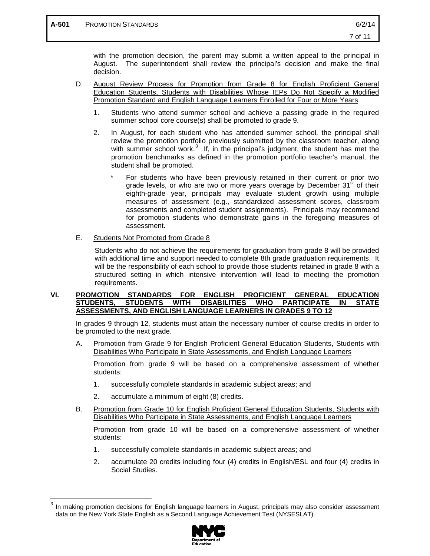with the promotion decision, the parent may submit a written appeal to the principal in August. The superintendent shall review the principal's decision and make the final decision.

- D. August Review Process for Promotion from Grade 8 for English Proficient General Education Students, Students with Disabilities Whose IEPs Do Not Specify a Modified Promotion Standard and English Language Learners Enrolled for Four or More Years
	- 1. Students who attend summer school and achieve a passing grade in the required summer school core course(s) shall be promoted to grade 9.
	- 2. In August, for each student who has attended summer school, the principal shall review the promotion portfolio previously submitted by the classroom teacher, along with summer school work.<sup>[3](#page-8-0)</sup> If, in the principal's judgment, the student has met the promotion benchmarks as defined in the promotion portfolio teacher's manual, the student shall be promoted.
		- For students who have been previously retained in their current or prior two grade levels, or who are two or more years overage by December  $31<sup>st</sup>$  of their eighth-grade year, principals may evaluate student growth using multiple measures of assessment (e.g., standardized assessment scores, classroom assessments and completed student assignments). Principals may recommend for promotion students who demonstrate gains in the foregoing measures of assessment.
- E. Students Not Promoted from Grade 8

Students who do not achieve the requirements for graduation from grade 8 will be provided with additional time and support needed to complete 8th grade graduation requirements. It will be the responsibility of each school to provide those students retained in grade 8 with a structured setting in which intensive intervention will lead to meeting the promotion requirements.

#### **VI. PROMOTION STANDARDS FOR ENGLISH PROFICIENT GENERAL EDUCATION PARTICIPATE IN ASSESSMENTS, AND ENGLISH LANGUAGE LEARNERS IN GRADES 9 TO 12**

In grades 9 through 12, students must attain the necessary number of course credits in order to be promoted to the next grade.

A. Promotion from Grade 9 for English Proficient General Education Students, Students with Disabilities Who Participate in State Assessments, and English Language Learners

Promotion from grade 9 will be based on a comprehensive assessment of whether students:

- 1. successfully complete standards in academic subject areas; and
- 2. accumulate a minimum of eight (8) credits.

 $\overline{a}$ 

B. Promotion from Grade 10 for English Proficient General Education Students, Students with Disabilities Who Participate in State Assessments, and English Language Learners

Promotion from grade 10 will be based on a comprehensive assessment of whether students:

- 1. successfully complete standards in academic subject areas; and
- 2. accumulate 20 credits including four (4) credits in English/ESL and four (4) credits in Social Studies.

<span id="page-8-0"></span>In making promotion decisions for English language learners in August, principals may also consider assessment data on the New York State English as a Second Language Achievement Test (NYSESLAT).

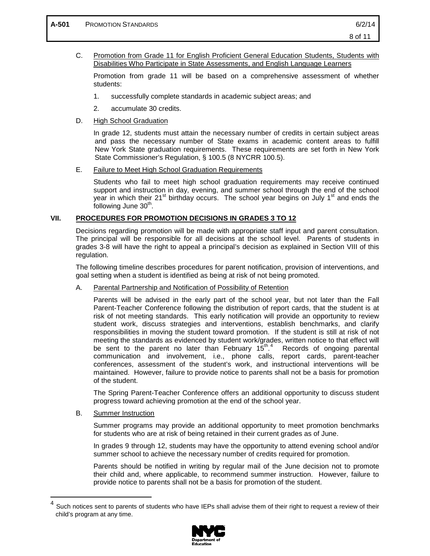C. Promotion from Grade 11 for English Proficient General Education Students, Students with Disabilities Who Participate in State Assessments, and English Language Learners

Promotion from grade 11 will be based on a comprehensive assessment of whether students:

- 1. successfully complete standards in academic subject areas; and
- 2. accumulate 30 credits.

#### D. High School Graduation

In grade 12, students must attain the necessary number of credits in certain subject areas and pass the necessary number of State exams in academic content areas to fulfill New York State graduation requirements. These requirements are set forth in New York State Commissioner's Regulation, § 100.5 (8 NYCRR 100.5).

#### E. Failure to Meet High School Graduation Requirements

Students who fail to meet high school graduation requirements may receive continued support and instruction in day, evening, and summer school through the end of the school year in which their  $21<sup>st</sup>$  birthday occurs. The school year begins on July 1<sup>st</sup> and ends the following June  $30<sup>th</sup>$ .

### **VII. PROCEDURES FOR PROMOTION DECISIONS IN GRADES 3 TO 12**

Decisions regarding promotion will be made with appropriate staff input and parent consultation. The principal will be responsible for all decisions at the school level. Parents of students in grades 3-8 will have the right to appeal a principal's decision as explained in Section VIII of this regulation.

The following timeline describes procedures for parent notification, provision of interventions, and goal setting when a student is identified as being at risk of not being promoted.

A. Parental Partnership and Notification of Possibility of Retention

Parents will be advised in the early part of the school year, but not later than the Fall Parent-Teacher Conference following the distribution of report cards, that the student is at risk of not meeting standards. This early notification will provide an opportunity to review student work, discuss strategies and interventions, establish benchmarks, and clarify responsibilities in moving the student toward promotion. If the student is still at risk of not meeting the standards as evidenced by student work/grades, written notice to that effect will be sent to the parent no later than February  $15<sup>th,4</sup>$  $15<sup>th,4</sup>$  $15<sup>th,4</sup>$  Records of ongoing parental communication and involvement, i.e., phone calls, report cards, parent-teacher conferences, assessment of the student's work, and instructional interventions will be maintained. However, failure to provide notice to parents shall not be a basis for promotion of the student.

The Spring Parent-Teacher Conference offers an additional opportunity to discuss student progress toward achieving promotion at the end of the school year.

#### B. Summer Instruction

 $\overline{a}$ 

Summer programs may provide an additional opportunity to meet promotion benchmarks for students who are at risk of being retained in their current grades as of June.

In grades 9 through 12, students may have the opportunity to attend evening school and/or summer school to achieve the necessary number of credits required for promotion.

Parents should be notified in writing by regular mail of the June decision not to promote their child and, where applicable, to recommend summer instruction. However, failure to provide notice to parents shall not be a basis for promotion of the student.

<span id="page-9-0"></span>Such notices sent to parents of students who have IEPs shall advise them of their right to request a review of their child's program at any time.

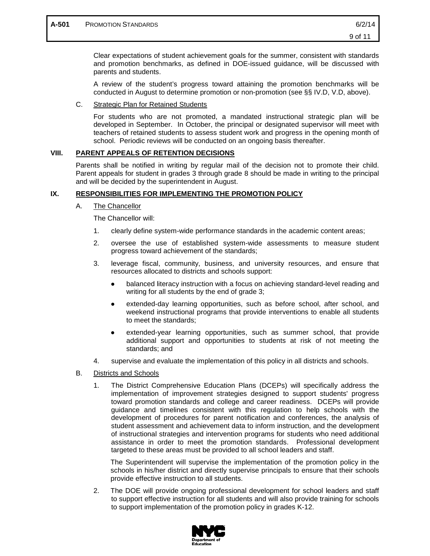Clear expectations of student achievement goals for the summer, consistent with standards and promotion benchmarks, as defined in DOE-issued guidance, will be discussed with parents and students.

A review of the student's progress toward attaining the promotion benchmarks will be conducted in August to determine promotion or non-promotion (see §§ IV.D, V.D, above).

C. Strategic Plan for Retained Students

For students who are not promoted, a mandated instructional strategic plan will be developed in September. In October, the principal or designated supervisor will meet with teachers of retained students to assess student work and progress in the opening month of school. Periodic reviews will be conducted on an ongoing basis thereafter.

#### **VIII. PARENT APPEALS OF RETENTION DECISIONS**

Parents shall be notified in writing by regular mail of the decision not to promote their child. Parent appeals for student in grades 3 through grade 8 should be made in writing to the principal and will be decided by the superintendent in August.

### **IX. RESPONSIBILITIES FOR IMPLEMENTING THE PROMOTION POLICY**

A. The Chancellor

The Chancellor will:

- 1. clearly define system-wide performance standards in the academic content areas;
- 2. oversee the use of established system-wide assessments to measure student progress toward achievement of the standards;
- 3. leverage fiscal, community, business, and university resources, and ensure that resources allocated to districts and schools support:
	- balanced literacy instruction with a focus on achieving standard-level reading and writing for all students by the end of grade 3;
	- extended-day learning opportunities, such as before school, after school, and weekend instructional programs that provide interventions to enable all students to meet the standards;
	- extended-year learning opportunities, such as summer school, that provide additional support and opportunities to students at risk of not meeting the standards; and
- 4. supervise and evaluate the implementation of this policy in all districts and schools.
- B. Districts and Schools
	- 1. The District Comprehensive Education Plans (DCEPs) will specifically address the implementation of improvement strategies designed to support students' progress toward promotion standards and college and career readiness. DCEPs will provide guidance and timelines consistent with this regulation to help schools with the development of procedures for parent notification and conferences, the analysis of student assessment and achievement data to inform instruction, and the development of instructional strategies and intervention programs for students who need additional assistance in order to meet the promotion standards. Professional development targeted to these areas must be provided to all school leaders and staff.

The Superintendent will supervise the implementation of the promotion policy in the schools in his/her district and directly supervise principals to ensure that their schools provide effective instruction to all students.

2. The DOE will provide ongoing professional development for school leaders and staff to support effective instruction for all students and will also provide training for schools to support implementation of the promotion policy in grades K-12.

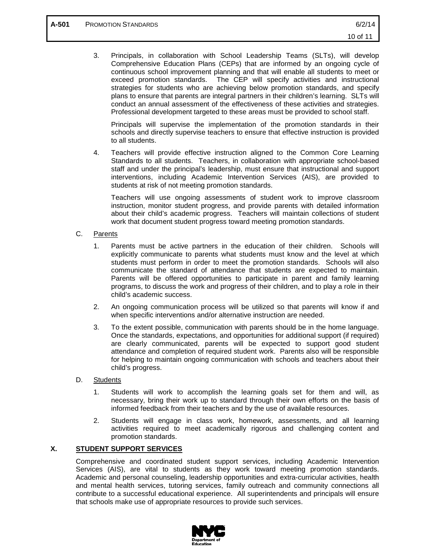3. Principals, in collaboration with School Leadership Teams (SLTs), will develop Comprehensive Education Plans (CEPs) that are informed by an ongoing cycle of continuous school improvement planning and that will enable all students to meet or exceed promotion standards. The CEP will specify activities and instructional strategies for students who are achieving below promotion standards, and specify plans to ensure that parents are integral partners in their children's learning. SLTs will conduct an annual assessment of the effectiveness of these activities and strategies. Professional development targeted to these areas must be provided to school staff.

Principals will supervise the implementation of the promotion standards in their schools and directly supervise teachers to ensure that effective instruction is provided to all students.

4. Teachers will provide effective instruction aligned to the Common Core Learning Standards to all students. Teachers, in collaboration with appropriate school-based staff and under the principal's leadership, must ensure that instructional and support interventions, including Academic Intervention Services (AIS), are provided to students at risk of not meeting promotion standards.

Teachers will use ongoing assessments of student work to improve classroom instruction, monitor student progress, and provide parents with detailed information about their child's academic progress. Teachers will maintain collections of student work that document student progress toward meeting promotion standards.

- C. Parents
	- 1. Parents must be active partners in the education of their children. Schools will explicitly communicate to parents what students must know and the level at which students must perform in order to meet the promotion standards. Schools will also communicate the standard of attendance that students are expected to maintain. Parents will be offered opportunities to participate in parent and family learning programs, to discuss the work and progress of their children, and to play a role in their child's academic success.
	- 2. An ongoing communication process will be utilized so that parents will know if and when specific interventions and/or alternative instruction are needed.
	- 3. To the extent possible, communication with parents should be in the home language. Once the standards, expectations, and opportunities for additional support (if required) are clearly communicated, parents will be expected to support good student attendance and completion of required student work. Parents also will be responsible for helping to maintain ongoing communication with schools and teachers about their child's progress.

#### D. Students

- 1. Students will work to accomplish the learning goals set for them and will, as necessary, bring their work up to standard through their own efforts on the basis of informed feedback from their teachers and by the use of available resources.
- 2. Students will engage in class work, homework, assessments, and all learning activities required to meet academically rigorous and challenging content and promotion standards.

### **X. STUDENT SUPPORT SERVICES**

Comprehensive and coordinated student support services, including Academic Intervention Services (AIS), are vital to students as they work toward meeting promotion standards. Academic and personal counseling, leadership opportunities and extra-curricular activities, health and mental health services, tutoring services, family outreach and community connections all contribute to a successful educational experience. All superintendents and principals will ensure that schools make use of appropriate resources to provide such services.